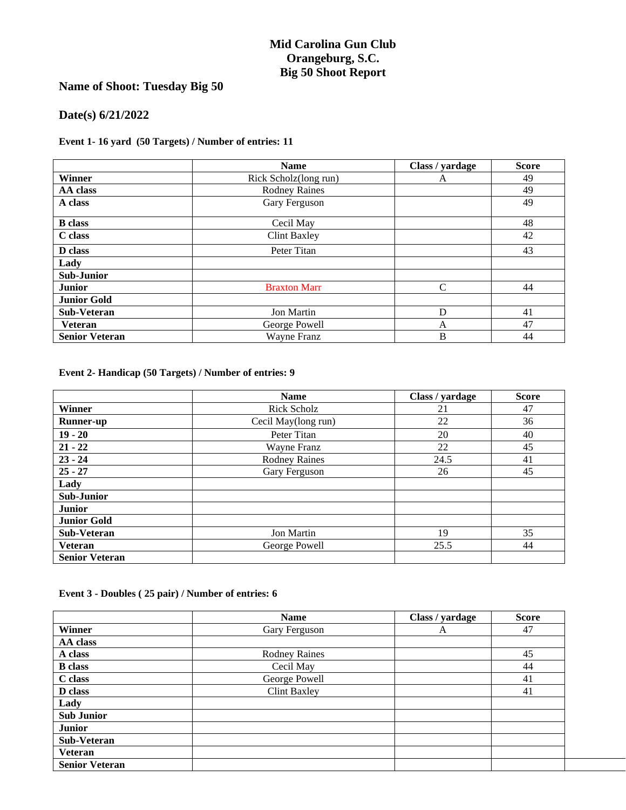## **Mid Carolina Gun Club Orangeburg, S.C. Big 50 Shoot Report**

# **Name of Shoot: Tuesday Big 50**

## **Date(s) 6/21/2022**

#### **Event 1- 16 yard (50 Targets) / Number of entries: 11**

|                       | <b>Name</b>           | Class / yardage | <b>Score</b> |
|-----------------------|-----------------------|-----------------|--------------|
| Winner                | Rick Scholz(long run) | A               | 49           |
| AA class              | <b>Rodney Raines</b>  |                 | 49           |
| A class               | Gary Ferguson         |                 | 49           |
| <b>B</b> class        | Cecil May             |                 | 48           |
| C class               | <b>Clint Baxley</b>   |                 | 42           |
| D class               | Peter Titan           |                 | 43           |
| Lady                  |                       |                 |              |
| <b>Sub-Junior</b>     |                       |                 |              |
| <b>Junior</b>         | <b>Braxton Marr</b>   | $\mathcal{C}$   | 44           |
| <b>Junior Gold</b>    |                       |                 |              |
| Sub-Veteran           | <b>Jon Martin</b>     | D               | 41           |
| <b>Veteran</b>        | George Powell         | A               | 47           |
| <b>Senior Veteran</b> | Wayne Franz           | B               | 44           |

**Event 2- Handicap (50 Targets) / Number of entries: 9**

|                       | <b>Name</b>          | Class / yardage | <b>Score</b> |
|-----------------------|----------------------|-----------------|--------------|
| <b>Winner</b>         | <b>Rick Scholz</b>   | 21              | 47           |
| <b>Runner-up</b>      | Cecil May(long run)  | 22              | 36           |
| $19 - 20$             | Peter Titan          | 20              | 40           |
| $21 - 22$             | Wayne Franz          | 22              | 45           |
| $23 - 24$             | <b>Rodney Raines</b> | 24.5            | 41           |
| $25 - 27$             | Gary Ferguson        | 26              | 45           |
| Lady                  |                      |                 |              |
| <b>Sub-Junior</b>     |                      |                 |              |
| <b>Junior</b>         |                      |                 |              |
| <b>Junior Gold</b>    |                      |                 |              |
| <b>Sub-Veteran</b>    | Jon Martin           | 19              | 35           |
| <b>Veteran</b>        | George Powell        | 25.5            | 44           |
| <b>Senior Veteran</b> |                      |                 |              |

#### **Event 3 - Doubles ( 25 pair) / Number of entries: 6**

|                       | <b>Name</b>          | Class / yardage | <b>Score</b> |
|-----------------------|----------------------|-----------------|--------------|
| Winner                | Gary Ferguson        | A               | 47           |
| AA class              |                      |                 |              |
| A class               | <b>Rodney Raines</b> |                 | 45           |
| <b>B</b> class        | Cecil May            |                 | 44           |
| C class               | George Powell        |                 | 41           |
| D class               | <b>Clint Baxley</b>  |                 | 41           |
| Lady                  |                      |                 |              |
| <b>Sub Junior</b>     |                      |                 |              |
| <b>Junior</b>         |                      |                 |              |
| Sub-Veteran           |                      |                 |              |
| <b>Veteran</b>        |                      |                 |              |
| <b>Senior Veteran</b> |                      |                 |              |